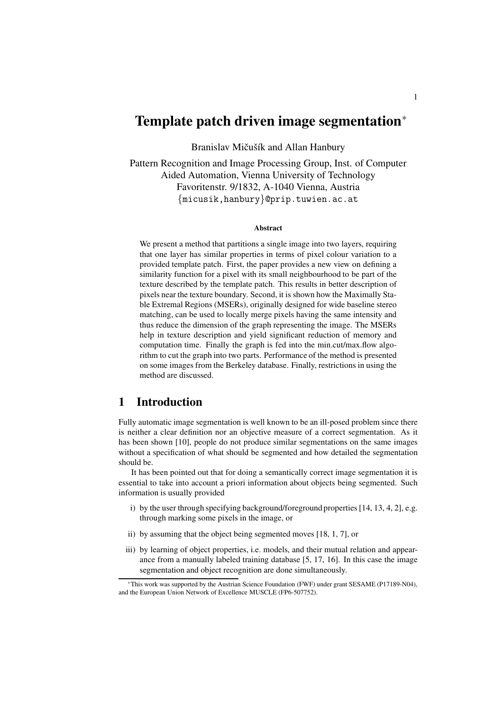# **Template patch driven image segmentation**<sup>∗</sup>

Branislav Mičušík and Allan Hanbury

Pattern Recognition and Image Processing Group, Inst. of Computer Aided Automation, Vienna University of Technology Favoritenstr. 9/1832, A-1040 Vienna, Austria {micusik,hanbury}@prip.tuwien.ac.at

#### **Abstract**

We present a method that partitions a single image into two layers, requiring that one layer has similar properties in terms of pixel colour variation to a provided template patch. First, the paper provides a new view on defining a similarity function for a pixel with its small neighbourhood to be part of the texture described by the template patch. This results in better description of pixels near the texture boundary. Second, it is shown how the Maximally Stable Extremal Regions (MSERs), originally designed for wide baseline stereo matching, can be used to locally merge pixels having the same intensity and thus reduce the dimension of the graph representing the image. The MSERs help in texture description and yield significant reduction of memory and computation time. Finally the graph is fed into the min.cut/max.flow algorithm to cut the graph into two parts. Performance of the method is presented on some images from the Berkeley database. Finally, restrictions in using the method are discussed.

# **1 Introduction**

Fully automatic image segmentation is well known to be an ill-posed problem since there is neither a clear definition nor an objective measure of a correct segmentation. As it has been shown [10], people do not produce similar segmentations on the same images without a specification of what should be segmented and how detailed the segmentation should be.

It has been pointed out that for doing a semantically correct image segmentation it is essential to take into account a priori information about objects being segmented. Such information is usually provided

- i) by the user through specifying background/foreground properties [14, 13, 4, 2], e.g. through marking some pixels in the image, or
- ii) by assuming that the object being segmented moves [18, 1, 7], or
- iii) by learning of object properties, i.e. models, and their mutual relation and appearance from a manually labeled training database [5, 17, 16]. In this case the image segmentation and object recognition are done simultaneously.

<sup>∗</sup>This work was supported by the Austrian Science Foundation (FWF) under grant SESAME (P17189-N04), and the European Union Network of Excellence MUSCLE (FP6-507752).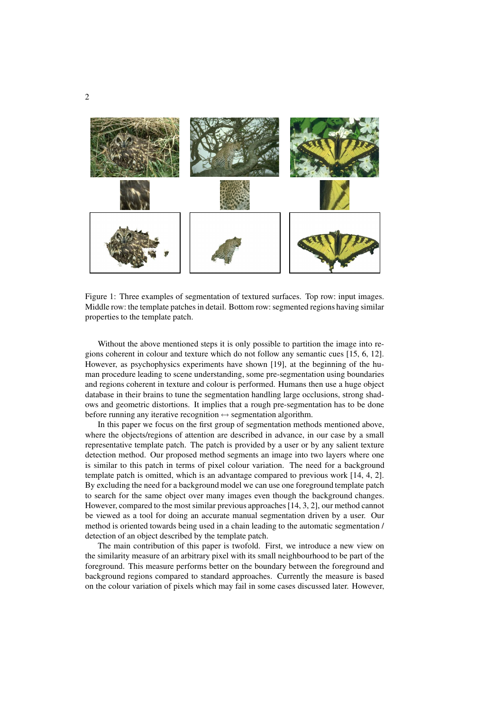

Figure 1: Three examples of segmentation of textured surfaces. Top row: input images. Middle row: the template patches in detail. Bottom row: segmented regions having similar properties to the template patch.

Without the above mentioned steps it is only possible to partition the image into regions coherent in colour and texture which do not follow any semantic cues [15, 6, 12]. However, as psychophysics experiments have shown [19], at the beginning of the human procedure leading to scene understanding, some pre-segmentation using boundaries and regions coherent in texture and colour is performed. Humans then use a huge object database in their brains to tune the segmentation handling large occlusions, strong shadows and geometric distortions. It implies that a rough pre-segmentation has to be done before running any iterative recognition  $\leftrightarrow$  segmentation algorithm.

In this paper we focus on the first group of segmentation methods mentioned above, where the objects/regions of attention are described in advance, in our case by a small representative template patch. The patch is provided by a user or by any salient texture detection method. Our proposed method segments an image into two layers where one is similar to this patch in terms of pixel colour variation. The need for a background template patch is omitted, which is an advantage compared to previous work [14, 4, 2]. By excluding the need for a background model we can use one foreground template patch to search for the same object over many images even though the background changes. However, compared to the most similar previous approaches[14, 3, 2], our method cannot be viewed as a tool for doing an accurate manual segmentation driven by a user. Our method is oriented towards being used in a chain leading to the automatic segmentation / detection of an object described by the template patch.

The main contribution of this paper is twofold. First, we introduce a new view on the similarity measure of an arbitrary pixel with its small neighbourhood to be part of the foreground. This measure performs better on the boundary between the foreground and background regions compared to standard approaches. Currently the measure is based on the colour variation of pixels which may fail in some cases discussed later. However,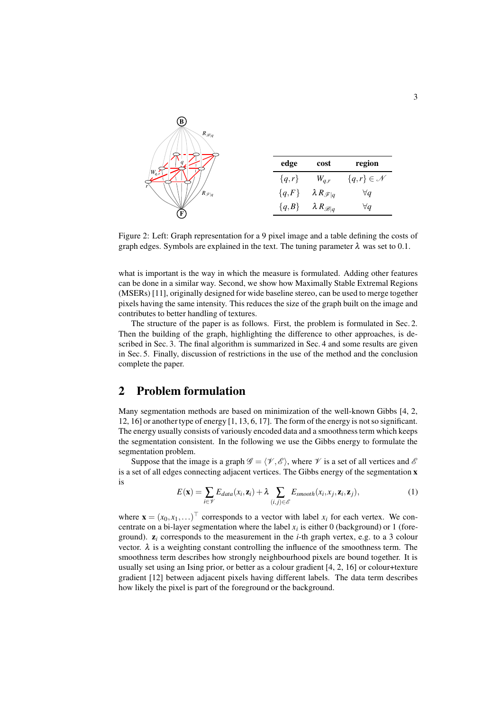

Figure 2: Left: Graph representation for a 9 pixel image and a table defining the costs of graph edges. Symbols are explained in the text. The tuning parameter  $\lambda$  was set to 0.1.

what is important is the way in which the measure is formulated. Adding other features can be done in a similar way. Second, we show how Maximally Stable Extremal Regions (MSERs) [11], originally designed for wide baseline stereo, can be used to merge together pixels having the same intensity. This reduces the size of the graph built on the image and contributes to better handling of textures.

The structure of the paper is as follows. First, the problem is formulated in Sec. 2. Then the building of the graph, highlighting the difference to other approaches, is described in Sec. 3. The final algorithm is summarized in Sec. 4 and some results are given in Sec. 5. Finally, discussion of restrictions in the use of the method and the conclusion complete the paper.

### **2 Problem formulation**

Many segmentation methods are based on minimization of the well-known Gibbs [4, 2, 12, 16] or another type of energy [1, 13, 6, 17]. The form of the energy is notso significant. The energy usually consists of variously encoded data and a smoothnessterm which keeps the segmentation consistent. In the following we use the Gibbs energy to formulate the segmentation problem.

Suppose that the image is a graph  $\mathscr{G} = \langle \mathscr{V}, \mathscr{E} \rangle$ , where  $\mathscr{V}$  is a set of all vertices and  $\mathscr{E}$ is a set of all edges connecting adjacent vertices. The Gibbs energy of the segmentation **x** is

$$
E(\mathbf{x}) = \sum_{i \in \mathcal{V}} E_{data}(x_i, \mathbf{z}_i) + \lambda \sum_{(i,j) \in \mathcal{E}} E_{smooth}(x_i, x_j, \mathbf{z}_i, \mathbf{z}_j),
$$
(1)

where  $\mathbf{x} = (x_0, x_1, \dots)^\top$  corresponds to a vector with label  $x_i$  for each vertex. We concentrate on a bi-layer segmentation where the label  $x_i$  is either 0 (background) or 1 (foreground). **z***<sup>i</sup>* corresponds to the measurement in the *i*-th graph vertex, e.g. to a 3 colour vector.  $\lambda$  is a weighting constant controlling the influence of the smoothness term. The smoothness term describes how strongly neighbourhood pixels are bound together. It is usually set using an Ising prior, or better as a colour gradient [4, 2, 16] or colour+texture gradient [12] between adjacent pixels having different labels. The data term describes how likely the pixel is part of the foreground or the background.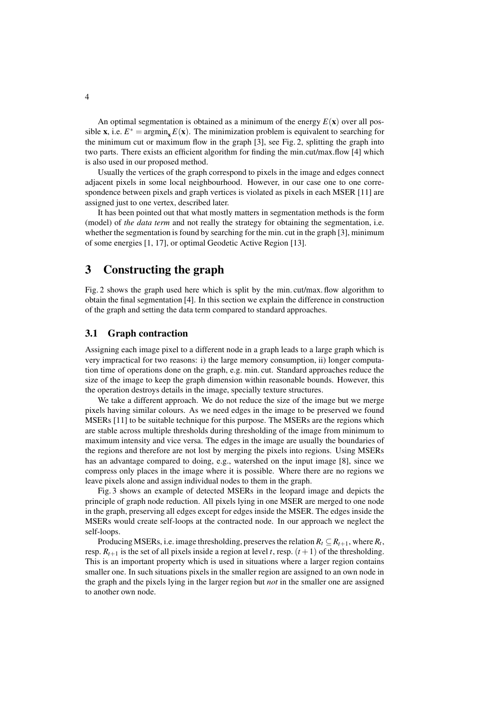An optimal segmentation is obtained as a minimum of the energy  $E(\mathbf{x})$  over all possible **x**, i.e.  $E^* = \text{argmin}_{\mathbf{x}} E(\mathbf{x})$ . The minimization problem is equivalent to searching for the minimum cut or maximum flow in the graph [3], see Fig. 2, splitting the graph into two parts. There exists an efficient algorithm for finding the min.cut/max.flow [4] which is also used in our proposed method.

Usually the vertices of the graph correspond to pixels in the image and edges connect adjacent pixels in some local neighbourhood. However, in our case one to one correspondence between pixels and graph vertices is violated as pixels in each MSER [11] are assigned just to one vertex, described later.

It has been pointed out that what mostly matters in segmentation methods is the form (model) of *the data term* and not really the strategy for obtaining the segmentation, i.e. whether the segmentation is found by searching for the min. cut in the graph [3], minimum of some energies [1, 17], or optimal Geodetic Active Region [13].

### **3 Constructing the graph**

Fig. 2 shows the graph used here which is split by the min. cut/max. flow algorithm to obtain the final segmentation [4]. In this section we explain the difference in construction of the graph and setting the data term compared to standard approaches.

#### **3.1 Graph contraction**

Assigning each image pixel to a different node in a graph leads to a large graph which is very impractical for two reasons: i) the large memory consumption, ii) longer computation time of operations done on the graph, e.g. min. cut. Standard approaches reduce the size of the image to keep the graph dimension within reasonable bounds. However, this the operation destroys details in the image, specially texture structures.

We take a different approach. We do not reduce the size of the image but we merge pixels having similar colours. As we need edges in the image to be preserved we found MSERs [11] to be suitable technique for this purpose. The MSERs are the regions which are stable across multiple thresholds during thresholding of the image from minimum to maximum intensity and vice versa. The edges in the image are usually the boundaries of the regions and therefore are not lost by merging the pixels into regions. Using MSERs has an advantage compared to doing, e.g., watershed on the input image [8], since we compress only places in the image where it is possible. Where there are no regions we leave pixels alone and assign individual nodes to them in the graph.

Fig. 3 shows an example of detected MSERs in the leopard image and depicts the principle of graph node reduction. All pixels lying in one MSER are merged to one node in the graph, preserving all edges except for edges inside the MSER. The edges inside the MSERs would create self-loops at the contracted node. In our approach we neglect the self-loops.

Producing MSERs, i.e. image thresholding, preserves the relation  $R_t \subseteq R_{t+1}$ , where  $R_t$ , resp.  $R_{t+1}$  is the set of all pixels inside a region at level *t*, resp.  $(t+1)$  of the thresholding. This is an important property which is used in situations where a larger region contains smaller one. In such situations pixels in the smaller region are assigned to an own node in the graph and the pixels lying in the larger region but *not* in the smaller one are assigned to another own node.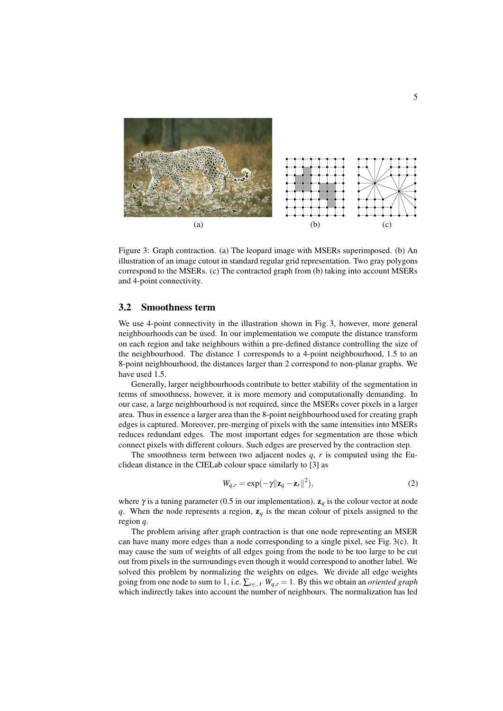

Figure 3: Graph contraction. (a) The leopard image with MSERs superimposed. (b) An illustration of an image cutout in standard regular grid representation. Two gray polygons correspond to the MSERs. (c) The contracted graph from (b) taking into account MSERs and 4-point connectivity.

#### **3.2 Smoothness term**

We use 4-point connectivity in the illustration shown in Fig. 3, however, more general neighbourhoods can be used. In our implementation we compute the distance transform on each region and take neighbours within a pre-defined distance controlling the size of the neighbourhood. The distance 1 corresponds to a 4-point neighbourhood, 1.5 to an 8-point neighbourhood, the distances larger than 2 correspond to non-planar graphs. We have used 1.5.

Generally, larger neighbourhoods contribute to better stability of the segmentation in terms of smoothness, however, it is more memory and computationally demanding. In our case, a large neighbourhood is not required, since the MSERs cover pixels in a larger area. Thus in essence a larger area than the 8-point neighbourhood used for creating graph edges is captured. Moreover, pre-merging of pixels with the same intensities into MSERs reduces redundant edges. The most important edges for segmentation are those which connect pixels with different colours. Such edges are preserved by the contraction step.

The smoothness term between two adjacent nodes *q*, *r* is computed using the Euclidean distance in the CIELab colour space similarly to [3] as

$$
W_{q,r} = \exp(-\gamma ||\mathbf{z}_q - \mathbf{z}_r||^2),\tag{2}
$$

where  $\gamma$  is a tuning parameter (0.5 in our implementation).  $z_q$  is the colour vector at node *q*. When the node represents a region, **z***<sup>q</sup>* is the mean colour of pixels assigned to the region *q*.

The problem arising after graph contraction is that one node representing an MSER can have many more edges than a node corresponding to a single pixel, see Fig. 3(c). It may cause the sum of weights of all edges going from the node to be too large to be cut out from pixels in the surroundings even though it would correspond to another label. We solved this problem by normalizing the weights on edges. We divide all edge weights going from one node to sum to 1, i.e.  $\sum_{r \in \mathcal{N}} W_{q,r} = 1$ . By this we obtain an *oriented* graph which indirectly takes into account the number of neighbours. The normalization has led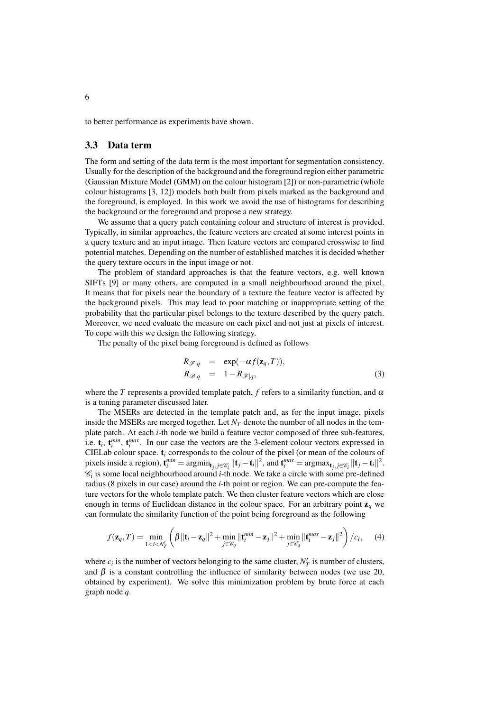to better performance as experiments have shown.

### **3.3 Data term**

The form and setting of the data term is the most important for segmentation consistency. Usually for the description of the background and the foreground region either parametric (Gaussian Mixture Model (GMM) on the colour histogram [2]) or non-parametric (whole colour histograms [3, 12]) models both built from pixels marked as the background and the foreground, is employed. In this work we avoid the use of histograms for describing the background or the foreground and propose a new strategy.

We assume that a query patch containing colour and structure of interest is provided. Typically, in similar approaches, the feature vectors are created at some interest points in a query texture and an input image. Then feature vectors are compared crosswise to find potential matches. Depending on the number of established matches it is decided whether the query texture occurs in the input image or not.

The problem of standard approaches is that the feature vectors, e.g. well known SIFTs [9] or many others, are computed in a small neighbourhood around the pixel. It means that for pixels near the boundary of a texture the feature vector is affected by the background pixels. This may lead to poor matching or inappropriate setting of the probability that the particular pixel belongs to the texture described by the query patch. Moreover, we need evaluate the measure on each pixel and not just at pixels of interest. To cope with this we design the following strategy.

The penalty of the pixel being foreground is defined as follows

$$
R_{\mathscr{F}|q} = \exp(-\alpha f(\mathbf{z}_q, T)),
$$
  
\n
$$
R_{\mathscr{B}|q} = 1 - R_{\mathscr{F}|q},
$$
\n(3)

where the *T* represents a provided template patch,  $f$  refers to a similarity function, and  $\alpha$ is a tuning parameter discussed later.

The MSERs are detected in the template patch and, as for the input image, pixels inside the MSERs are merged together. Let  $N_T$  denote the number of all nodes in the template patch. At each *i*-th node we build a feature vector composed of three sub-features, i.e.  $\mathbf{t}_i$ ,  $\mathbf{t}_i^{min}$ ,  $\mathbf{t}_i^{max}$ . In our case the vectors are the 3-element colour vectors expressed in CIELab colour space. **t***<sup>i</sup>* corresponds to the colour of the pixel (or mean of the colours of pixels inside a region),  $\mathbf{t}_{i}^{min} = \operatorname{argmin}_{\mathbf{t}_{j}, j \in \mathcal{C}_{i}} ||\mathbf{t}_{j} - \mathbf{t}_{i}||^{2}$ , and  $\mathbf{t}_{i}^{max} = \operatorname{argmax}_{\mathbf{t}_{j}, j \in \mathcal{C}_{i}} ||\mathbf{t}_{j} - \mathbf{t}_{i}||^{2}$ .  $\mathcal{C}_i$  is some local neighbourhood around *i*-th node. We take a circle with some pre-defined radius (8 pixels in our case) around the *i*-th point or region. We can pre-compute the feature vectors for the whole template patch. We then cluster feature vectors which are close enough in terms of Euclidean distance in the colour space. For an arbitrary point  $\mathbf{z}_q$  we can formulate the similarity function of the point being foreground as the following

$$
f(\mathbf{z}_q, T) = \min_{1 \le i \le N'_T} \left( \beta \|\mathbf{t}_i - \mathbf{z}_q\|^2 + \min_{j \in \mathscr{C}_q} \|\mathbf{t}_i^{min} - \mathbf{z}_j\|^2 + \min_{j \in \mathscr{C}_q} \|\mathbf{t}_i^{max} - \mathbf{z}_j\|^2 \right) / c_i, \quad (4)
$$

where  $c_i$  is the number of vectors belonging to the same cluster,  $N'_T$  is number of clusters, and  $\beta$  is a constant controlling the influence of similarity between nodes (we use 20, obtained by experiment). We solve this minimization problem by brute force at each graph node *q*.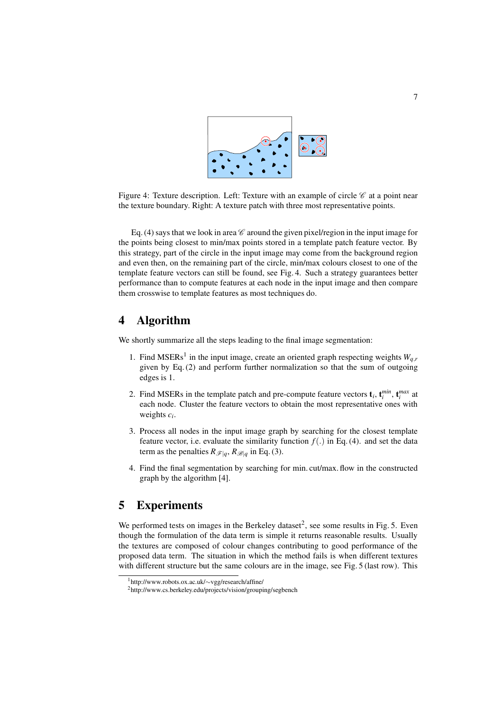

Figure 4: Texture description. Left: Texture with an example of circle  $\mathscr C$  at a point near the texture boundary. Right: A texture patch with three most representative points.

Eq. (4) says that we look in area  $\mathscr C$  around the given pixel/region in the input image for the points being closest to min/max points stored in a template patch feature vector. By this strategy, part of the circle in the input image may come from the background region and even then, on the remaining part of the circle, min/max colours closest to one of the template feature vectors can still be found, see Fig. 4. Such a strategy guarantees better performance than to compute features at each node in the input image and then compare them crosswise to template features as most techniques do.

## **4 Algorithm**

We shortly summarize all the steps leading to the final image segmentation:

- 1. Find MSERs<sup>1</sup> in the input image, create an oriented graph respecting weights  $W_{q}$ , given by Eq.(2) and perform further normalization so that the sum of outgoing edges is 1.
- 2. Find MSERs in the template patch and pre-compute feature vectors  $\mathbf{t}_i$ ,  $\mathbf{t}_i^{min}$ ,  $\mathbf{t}_i^{max}$  at each node. Cluster the feature vectors to obtain the most representative ones with weights *c<sup>i</sup>* .
- 3. Process all nodes in the input image graph by searching for the closest template feature vector, i.e. evaluate the similarity function  $f(.)$  in Eq. (4). and set the data term as the penalties  $R_{\mathscr{F}|q}$ ,  $R_{\mathscr{B}|q}$  in Eq. (3).
- 4. Find the final segmentation by searching for min. cut/max. flow in the constructed graph by the algorithm [4].

### **5 Experiments**

We performed tests on images in the Berkeley dataset<sup>2</sup>, see some results in Fig. 5. Even though the formulation of the data term is simple it returns reasonable results. Usually the textures are composed of colour changes contributing to good performance of the proposed data term. The situation in which the method fails is when different textures with different structure but the same colours are in the image, see Fig. 5 (last row). This

<sup>1</sup>http://www.robots.ox.ac.uk/∼vgg/research/affine/

<sup>2</sup>http://www.cs.berkeley.edu/projects/vision/grouping/segbench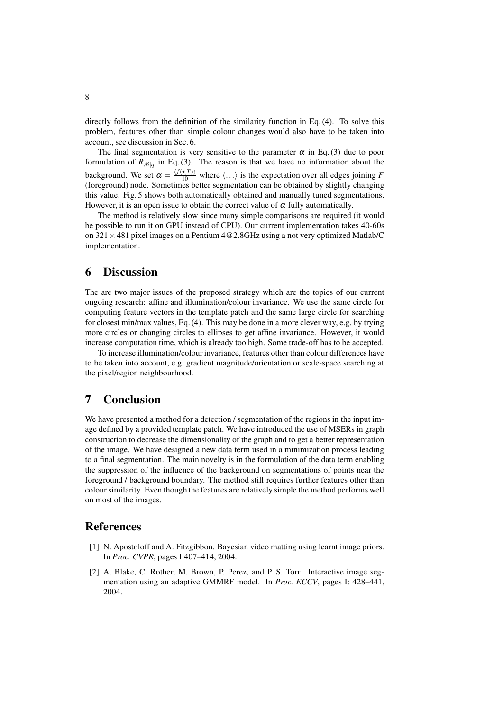directly follows from the definition of the similarity function in Eq.(4). To solve this problem, features other than simple colour changes would also have to be taken into account, see discussion in Sec. 6.

The final segmentation is very sensitive to the parameter  $\alpha$  in Eq.(3) due to poor formulation of  $R_{\mathscr{B}|q}$  in Eq.(3). The reason is that we have no information about the background. We set  $\alpha = \frac{\langle f(z,T) \rangle}{10}$  where  $\langle \ldots \rangle$  is the expectation over all edges joining *F* (foreground) node. Sometimes better segmentation can be obtained by slightly changing this value. Fig. 5 shows both automatically obtained and manually tuned segmentations. However, it is an open issue to obtain the correct value of  $\alpha$  fully automatically.

The method is relatively slow since many simple comparisons are required (it would be possible to run it on GPU instead of CPU). Our current implementation takes 40-60s on  $321 \times 481$  pixel images on a Pentium  $4@2.8GHz$  using a not very optimized Matlab/C implementation.

### **6 Discussion**

The are two major issues of the proposed strategy which are the topics of our current ongoing research: affine and illumination/colour invariance. We use the same circle for computing feature vectors in the template patch and the same large circle for searching for closest min/max values, Eq.(4). This may be done in a more clever way, e.g. by trying more circles or changing circles to ellipses to get affine invariance. However, it would increase computation time, which is already too high. Some trade-off has to be accepted.

To increase illumination/colour invariance, features other than colour differences have to be taken into account, e.g. gradient magnitude/orientation or scale-space searching at the pixel/region neighbourhood.

## **7 Conclusion**

We have presented a method for a detection / segmentation of the regions in the input image defined by a provided template patch. We have introduced the use of MSERs in graph construction to decrease the dimensionality of the graph and to get a better representation of the image. We have designed a new data term used in a minimization process leading to a final segmentation. The main novelty is in the formulation of the data term enabling the suppression of the influence of the background on segmentations of points near the foreground / background boundary. The method still requires further features other than colour similarity. Even though the features are relatively simple the method performs well on most of the images.

### **References**

- [1] N. Apostoloff and A. Fitzgibbon. Bayesian video matting using learnt image priors. In *Proc. CVPR*, pages I:407–414, 2004.
- [2] A. Blake, C. Rother, M. Brown, P. Perez, and P. S. Torr. Interactive image segmentation using an adaptive GMMRF model. In *Proc. ECCV*, pages I: 428–441, 2004.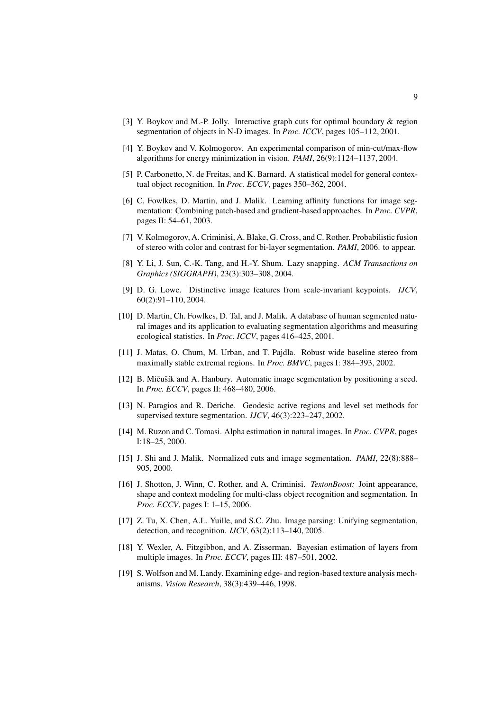- [3] Y. Boykov and M.-P. Jolly. Interactive graph cuts for optimal boundary & region segmentation of objects in N-D images. In *Proc. ICCV*, pages 105–112, 2001.
- [4] Y. Boykov and V. Kolmogorov. An experimental comparison of min-cut/max-flow algorithms for energy minimization in vision. *PAMI*, 26(9):1124–1137, 2004.
- [5] P. Carbonetto, N. de Freitas, and K. Barnard. A statistical model for general contextual object recognition. In *Proc. ECCV*, pages 350–362, 2004.
- [6] C. Fowlkes, D. Martin, and J. Malik. Learning affinity functions for image segmentation: Combining patch-based and gradient-based approaches. In *Proc. CVPR*, pages II: 54–61, 2003.
- [7] V. Kolmogorov, A. Criminisi, A. Blake, G. Cross, and C. Rother. Probabilistic fusion of stereo with color and contrast for bi-layer segmentation. *PAMI*, 2006. to appear.
- [8] Y. Li, J. Sun, C.-K. Tang, and H.-Y. Shum. Lazy snapping. *ACM Transactions on Graphics (SIGGRAPH)*, 23(3):303–308, 2004.
- [9] D. G. Lowe. Distinctive image features from scale-invariant keypoints. *IJCV*, 60(2):91–110, 2004.
- [10] D. Martin, Ch. Fowlkes, D. Tal, and J. Malik. A database of human segmented natural images and its application to evaluating segmentation algorithms and measuring ecological statistics. In *Proc. ICCV*, pages 416–425, 2001.
- [11] J. Matas, O. Chum, M. Urban, and T. Pajdla. Robust wide baseline stereo from maximally stable extremal regions. In *Proc. BMVC*, pages I: 384–393, 2002.
- [12] B. Mičušík and A. Hanbury. Automatic image segmentation by positioning a seed. In *Proc. ECCV*, pages II: 468–480, 2006.
- [13] N. Paragios and R. Deriche. Geodesic active regions and level set methods for supervised texture segmentation. *IJCV*, 46(3):223–247, 2002.
- [14] M. Ruzon and C. Tomasi. Alpha estimation in natural images. In *Proc. CVPR*, pages I:18–25, 2000.
- [15] J. Shi and J. Malik. Normalized cuts and image segmentation. *PAMI*, 22(8):888– 905, 2000.
- [16] J. Shotton, J. Winn, C. Rother, and A. Criminisi. *TextonBoost:* Joint appearance, shape and context modeling for multi-class object recognition and segmentation. In *Proc. ECCV*, pages I: 1–15, 2006.
- [17] Z. Tu, X. Chen, A.L. Yuille, and S.C. Zhu. Image parsing: Unifying segmentation, detection, and recognition. *IJCV*, 63(2):113–140, 2005.
- [18] Y. Wexler, A. Fitzgibbon, and A. Zisserman. Bayesian estimation of layers from multiple images. In *Proc. ECCV*, pages III: 487–501, 2002.
- [19] S. Wolfson and M. Landy. Examining edge- and region-based texture analysis mechanisms. *Vision Research*, 38(3):439–446, 1998.